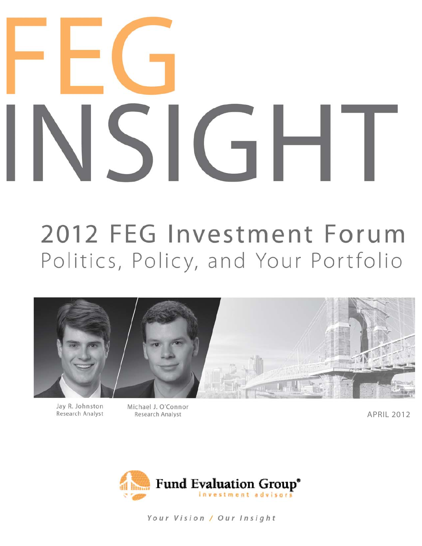# $\Box$

# 2012 FEG Investment Forum Politics, Policy, and Your Portfolio



Jay R. Johnston Research Analyst Michael J. O'Connor Research Analyst

APRIL 2012



Your Vision / Our Insight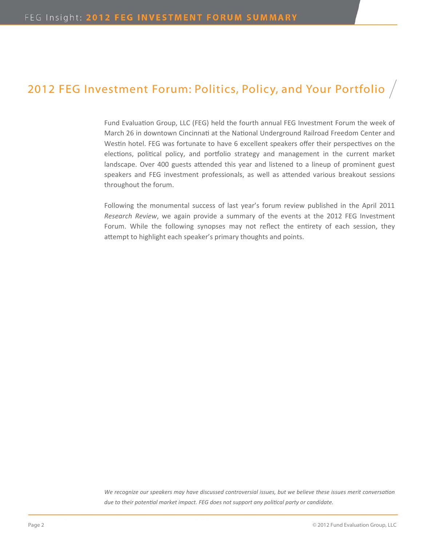### 2012 FEG Investment Forum: Politics, Policy, and Your Portfolio  $/$

Fund Evaluation Group, LLC (FEG) held the fourth annual FEG Investment Forum the week of March 26 in downtown Cincinnati at the National Underground Railroad Freedom Center and Westin hotel. FEG was fortunate to have 6 excellent speakers offer their perspectives on the elections, political policy, and portfolio strategy and management in the current market landscape. Over 400 guests attended this year and listened to a lineup of prominent guest speakers and FEG investment professionals, as well as attended various breakout sessions throughout the forum.

Following the monumental success of last year's forum review published in the April 2011 *Research Review*, we again provide a summary of the events at the 2012 FEG Investment Forum. While the following synopses may not reflect the entirety of each session, they attempt to highlight each speaker's primary thoughts and points.

We recognize our speakers may have discussed controversial issues, but we believe these issues merit conversation due to their potential market impact. FEG does not support any political party or candidate.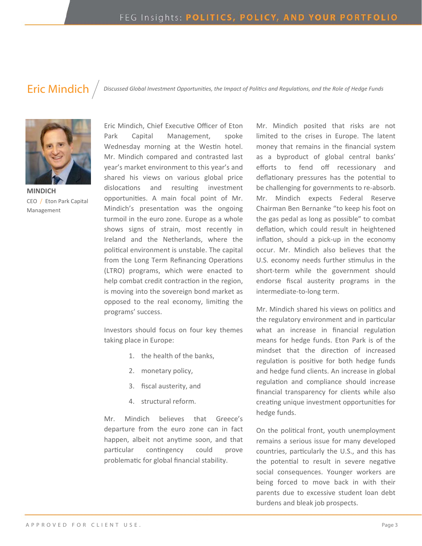**Eric Mindich**  $\int$  Discussed Global Investment Opportunities, the Impact of Politics and Regulations, and the Role of Hedge Funds



**MINDICH** CEO / Eton Park Capital Management

Eric Mindich, Chief Executive Officer of Eton Park Capital Management, spoke Wednesday morning at the Westin hotel. Mr. Mindich compared and contrasted last year's market environment to this year's and shared his views on various global price dislocations and resulting investment opportunities. A main focal point of Mr. Mindich's presentation was the ongoing turmoil in the euro zone. Europe as a whole shows signs of strain, most recently in Ireland and the Netherlands, where the political environment is unstable. The capital from the Long Term Refinancing Operations (LTRO) programs, which were enacted to help combat credit contraction in the region, is moving into the sovereign bond market as opposed to the real economy, limiting the programs' success.

Investors should focus on four key themes taking place in Europe:

- 1. the health of the banks,
- 2. monetary policy,
- 3. fiscal austerity, and
- 4. structural reform.

Mr. Mindich believes that Greece's departure from the euro zone can in fact happen, albeit not anytime soon, and that particular contingency could prove problematic for global financial stability.

Mr. Mindich posited that risks are not limited to the crises in Europe. The latent money that remains in the financial system as a byproduct of global central banks' efforts to fend off recessionary and deflationary pressures has the potential to be challenging for governments to re‐absorb. Mr. Mindich expects Federal Reserve Chairman Ben Bernanke "to keep his foot on the gas pedal as long as possible" to combat deflation, which could result in heightened inflation, should a pick-up in the economy occur. Mr. Mindich also believes that the U.S. economy needs further stimulus in the short-term while the government should endorse fiscal austerity programs in the intermediate‐to‐long term.

Mr. Mindich shared his views on politics and the regulatory environment and in particular what an increase in financial regulation means for hedge funds. Eton Park is of the mindset that the direction of increased regulation is positive for both hedge funds and hedge fund clients. An increase in global regulation and compliance should increase financial transparency for clients while also creating unique investment opportunities for hedge funds.

On the political front, youth unemployment remains a serious issue for many developed countries, particularly the U.S., and this has the potential to result in severe negative social consequences. Younger workers are being forced to move back in with their parents due to excessive student loan debt burdens and bleak job prospects.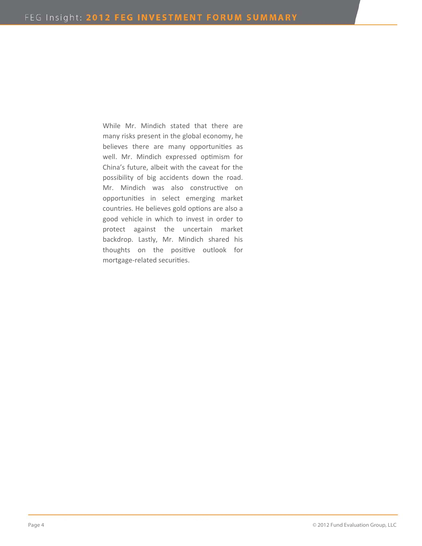While Mr. Mindich stated that there are many risks present in the global economy, he believes there are many opportunities as well. Mr. Mindich expressed optimism for China's future, albeit with the caveat for the possibility of big accidents down the road. Mr. Mindich was also constructive on opportuniƟes in select emerging market countries. He believes gold options are also a good vehicle in which to invest in order to protect against the uncertain market backdrop. Lastly, Mr. Mindich shared his thoughts on the positive outlook for mortgage-related securities.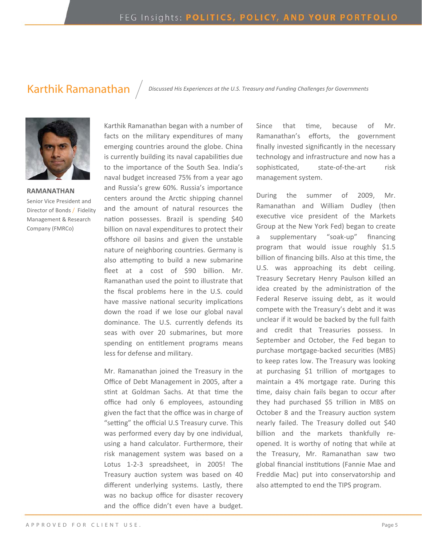Karthik Ramanathan *Discussed His Experiences at the U.S. Treasury and Funding Challenges for Governments*



### **RAMANATHAN**  Senior Vice President and Director of Bonds / Fidelity Management & Research Company (FMRCo)

Karthik Ramanathan began with a number of facts on the military expenditures of many emerging countries around the globe. China is currently building its naval capabilities due to the importance of the South Sea. India's naval budget increased 75% from a year ago and Russia's grew 60%. Russia's importance centers around the Arctic shipping channel and the amount of natural resources the nation possesses. Brazil is spending \$40 billion on naval expenditures to protect their offshore oil basins and given the unstable nature of neighboring countries. Germany is also attempting to build a new submarine fleet at a cost of \$90 billion. Mr. Ramanathan used the point to illustrate that the fiscal problems here in the U.S. could have massive national security implications down the road if we lose our global naval dominance. The U.S. currently defends its seas with over 20 submarines, but more spending on entitlement programs means less for defense and military.

Mr. Ramanathan joined the Treasury in the Office of Debt Management in 2005, after a stint at Goldman Sachs. At that time the office had only 6 employees, astounding given the fact that the office was in charge of "setting" the official U.S Treasury curve. This was performed every day by one individual, using a hand calculator. Furthermore, their risk management system was based on a Lotus 1‐2‐3 spreadsheet, in 2005! The Treasury auction system was based on 40 different underlying systems. Lastly, there was no backup office for disaster recovery and the office didn't even have a budget.

Since that time, because of Mr. Ramanathan's efforts, the government finally invested significantly in the necessary technology and infrastructure and now has a sophisticated, state-of-the-art risk management system.

During the summer of 2009, Mr. Ramanathan and William Dudley (then executive vice president of the Markets Group at the New York Fed) began to create a supplementary "soak‐up" financing program that would issue roughly \$1.5 billion of financing bills. Also at this time, the U.S. was approaching its debt ceiling. Treasury Secretary Henry Paulson killed an idea created by the administration of the Federal Reserve issuing debt, as it would compete with the Treasury's debt and it was unclear if it would be backed by the full faith and credit that Treasuries possess. In September and October, the Fed began to purchase mortgage-backed securities (MBS) to keep rates low. The Treasury was looking at purchasing \$1 trillion of mortgages to maintain a 4% mortgage rate. During this time, daisy chain fails began to occur after they had purchased \$5 trillion in MBS on October 8 and the Treasury auction system nearly failed. The Treasury dolled out \$40 billion and the markets thankfully reopened. It is worthy of noting that while at the Treasury, Mr. Ramanathan saw two global financial institutions (Fannie Mae and Freddie Mac) put into conservatorship and also attempted to end the TIPS program.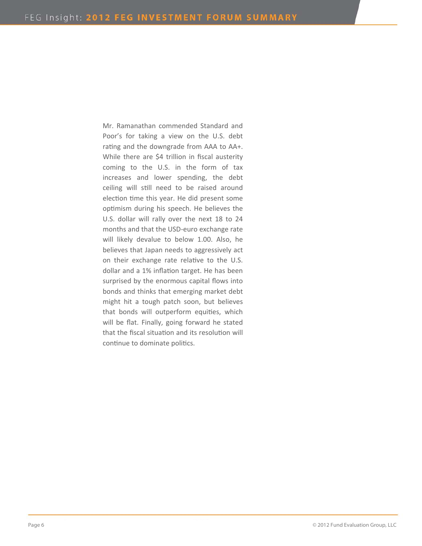Mr. Ramanathan commended Standard and Poor's for taking a view on the U.S. debt rating and the downgrade from AAA to AA+. While there are \$4 trillion in fiscal austerity coming to the U.S. in the form of tax increases and lower spending, the debt ceiling will still need to be raised around election time this year. He did present some optimism during his speech. He believes the U.S. dollar will rally over the next 18 to 24 months and that the USD‐euro exchange rate will likely devalue to below 1.00. Also, he believes that Japan needs to aggressively act on their exchange rate relative to the U.S. dollar and a 1% inflation target. He has been surprised by the enormous capital flows into bonds and thinks that emerging market debt might hit a tough patch soon, but believes that bonds will outperform equities, which will be flat. Finally, going forward he stated that the fiscal situation and its resolution will continue to dominate politics.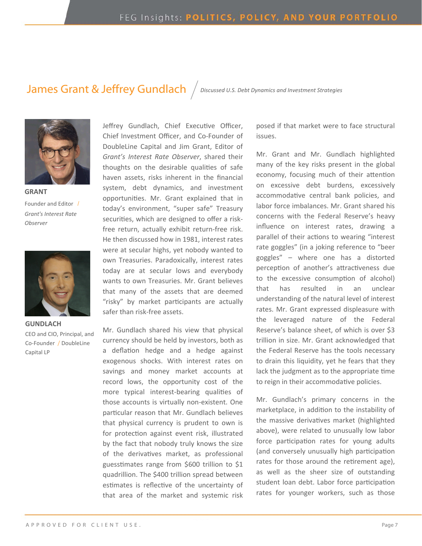### James Grant & Jeffrey Gundlach *Discussed U.S. Debt Dynamics and Investment Strategies*



**GRANT** Founder and Editor / *Grant's Interest Rate Observer* 



**GUNDLACH** CEO and CIO, Principal, and Co‐Founder / DoubleLine Capital LP

Jeffrey Gundlach, Chief Executive Officer, Chief Investment Officer, and Co‐Founder of DoubleLine Capital and Jim Grant, Editor of *Grant's Interest Rate Observer*, shared their thoughts on the desirable qualities of safe haven assets, risks inherent in the financial system, debt dynamics, and investment opportunities. Mr. Grant explained that in today's environment, "super safe" Treasury securities, which are designed to offer a riskfree return, actually exhibit return‐free risk. He then discussed how in 1981, interest rates were at secular highs, yet nobody wanted to own Treasuries. Paradoxically, interest rates today are at secular lows and everybody wants to own Treasuries. Mr. Grant believes that many of the assets that are deemed "risky" by market participants are actually safer than risk-free assets.

Mr. Gundlach shared his view that physical currency should be held by investors, both as a deflation hedge and a hedge against exogenous shocks. With interest rates on savings and money market accounts at record lows, the opportunity cost of the more typical interest-bearing qualities of those accounts is virtually non‐existent. One particular reason that Mr. Gundlach believes that physical currency is prudent to own is for protection against event risk, illustrated by the fact that nobody truly knows the size of the derivatives market, as professional guesstimates range from \$600 trillion to \$1 quadrillion. The \$400 trillion spread between estimates is reflective of the uncertainty of that area of the market and systemic risk posed if that market were to face structural issues.

Mr. Grant and Mr. Gundlach highlighted many of the key risks present in the global economy, focusing much of their attention on excessive debt burdens, excessively accommodative central bank policies, and labor force imbalances. Mr. Grant shared his concerns with the Federal Reserve's heavy influence on interest rates, drawing a parallel of their actions to wearing "interest rate goggles" (in a joking reference to "beer goggles" – where one has a distorted perception of another's attractiveness due to the excessive consumption of alcohol) that has resulted in an unclear understanding of the natural level of interest rates. Mr. Grant expressed displeasure with the leveraged nature of the Federal Reserve's balance sheet, of which is over \$3 trillion in size. Mr. Grant acknowledged that the Federal Reserve has the tools necessary to drain this liquidity, yet he fears that they lack the judgment as to the appropriate time to reign in their accommodative policies.

Mr. Gundlach's primary concerns in the marketplace, in addition to the instability of the massive derivatives market (highlighted above), were related to unusually low labor force participation rates for young adults (and conversely unusually high participation rates for those around the retirement age), as well as the sheer size of outstanding student loan debt. Labor force participation rates for younger workers, such as those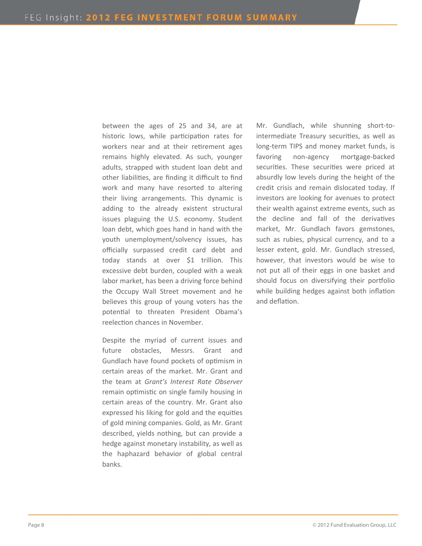between the ages of 25 and 34, are at historic lows, while participation rates for workers near and at their retirement ages remains highly elevated. As such, younger adults, strapped with student loan debt and other liabilities, are finding it difficult to find work and many have resorted to altering their living arrangements. This dynamic is adding to the already existent structural issues plaguing the U.S. economy. Student loan debt, which goes hand in hand with the youth unemployment/solvency issues, has officially surpassed credit card debt and today stands at over \$1 trillion. This excessive debt burden, coupled with a weak labor market, has been a driving force behind the Occupy Wall Street movement and he believes this group of young voters has the potential to threaten President Obama's reelection chances in November.

Despite the myriad of current issues and future obstacles, Messrs. Grant and Gundlach have found pockets of optimism in certain areas of the market. Mr. Grant and the team at *Grant's Interest Rate Observer* remain optimistic on single family housing in certain areas of the country. Mr. Grant also expressed his liking for gold and the equities of gold mining companies. Gold, as Mr. Grant described, yields nothing, but can provide a hedge against monetary instability, as well as the haphazard behavior of global central banks.

Mr. Gundlach, while shunning short-tointermediate Treasury securities, as well as long‐term TIPS and money market funds, is favoring non‐agency mortgage‐backed securities. These securities were priced at absurdly low levels during the height of the credit crisis and remain dislocated today. If investors are looking for avenues to protect their wealth against extreme events, such as the decline and fall of the derivatives market, Mr. Gundlach favors gemstones, such as rubies, physical currency, and to a lesser extent, gold. Mr. Gundlach stressed, however, that investors would be wise to not put all of their eggs in one basket and should focus on diversifying their portfolio while building hedges against both inflation and deflation.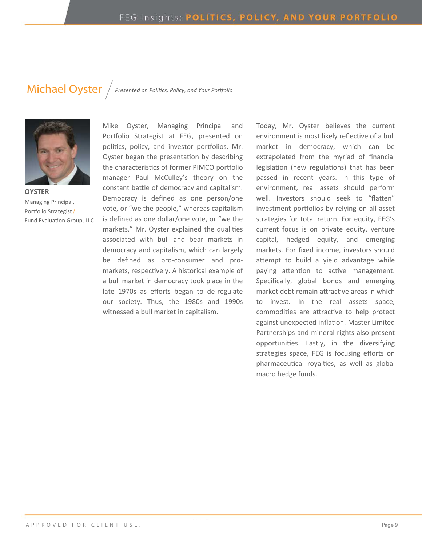### Michael Oyster / Presented on Politics, Policy, and Your Portfolio



**OYSTER** Managing Principal, Portfolio Strategist / Fund Evaluation Group, LLC

Mike Oyster, Managing Principal and Portfolio Strategist at FEG, presented on politics, policy, and investor portfolios. Mr. Oyster began the presentation by describing the characteristics of former PIMCO portfolio manager Paul McCulley's theory on the constant battle of democracy and capitalism. Democracy is defined as one person/one vote, or "we the people," whereas capitalism is defined as one dollar/one vote, or "we the markets." Mr. Oyster explained the qualities associated with bull and bear markets in democracy and capitalism, which can largely be defined as pro-consumer and promarkets, respectively. A historical example of a bull market in democracy took place in the late 1970s as efforts began to de‐regulate our society. Thus, the 1980s and 1990s witnessed a bull market in capitalism.

Today, Mr. Oyster believes the current environment is most likely reflective of a bull market in democracy, which can be extrapolated from the myriad of financial legislation (new regulations) that has been passed in recent years. In this type of environment, real assets should perform well. Investors should seek to "flatten" investment portfolios by relying on all asset strategies for total return. For equity, FEG's current focus is on private equity, venture capital, hedged equity, and emerging markets. For fixed income, investors should attempt to build a yield advantage while paying attention to active management. Specifically, global bonds and emerging market debt remain attractive areas in which to invest. In the real assets space, commodities are attractive to help protect against unexpected inflation. Master Limited Partnerships and mineral rights also present opportunities. Lastly, in the diversifying strategies space, FEG is focusing efforts on pharmaceutical royalties, as well as global macro hedge funds.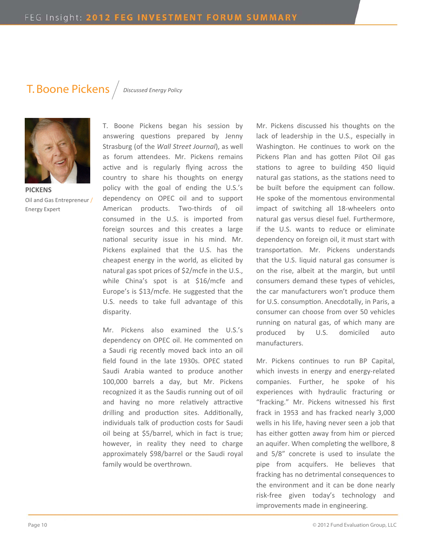### T. Boone Pickens *Discussed Energy Policy*



**PICKENS** Oil and Gas Entrepreneur / Energy Expert

T. Boone Pickens began his session by answering questions prepared by Jenny Strasburg (of the *Wall Street Journal*), as well as forum attendees. Mr. Pickens remains active and is regularly flying across the country to share his thoughts on energy policy with the goal of ending the U.S.'s dependency on OPEC oil and to support American products. Two-thirds of oil consumed in the U.S. is imported from foreign sources and this creates a large national security issue in his mind. Mr. Pickens explained that the U.S. has the cheapest energy in the world, as elicited by natural gas spot prices of \$2/mcfe in the U.S., while China's spot is at \$16/mcfe and Europe's is \$13/mcfe. He suggested that the U.S. needs to take full advantage of this disparity.

Mr. Pickens also examined the U.S.'s dependency on OPEC oil. He commented on a Saudi rig recently moved back into an oil field found in the late 1930s. OPEC stated Saudi Arabia wanted to produce another 100,000 barrels a day, but Mr. Pickens recognized it as the Saudis running out of oil and having no more relatively attractive drilling and production sites. Additionally, individuals talk of production costs for Saudi oil being at \$5/barrel, which in fact is true; however, in reality they need to charge approximately \$98/barrel or the Saudi royal family would be overthrown.

Mr. Pickens discussed his thoughts on the lack of leadership in the U.S., especially in Washington. He continues to work on the Pickens Plan and has gotten Pilot Oil gas stations to agree to building 450 liquid natural gas stations, as the stations need to be built before the equipment can follow. He spoke of the momentous environmental impact of switching all 18‐wheelers onto natural gas versus diesel fuel. Furthermore, if the U.S. wants to reduce or eliminate dependency on foreign oil, it must start with transportation. Mr. Pickens understands that the U.S. liquid natural gas consumer is on the rise, albeit at the margin, but until consumers demand these types of vehicles, the car manufacturers won't produce them for U.S. consumption. Anecdotally, in Paris, a consumer can choose from over 50 vehicles running on natural gas, of which many are produced by U.S. domiciled auto manufacturers.

Mr. Pickens continues to run BP Capital, which invests in energy and energy-related companies. Further, he spoke of his experiences with hydraulic fracturing or "fracking." Mr. Pickens witnessed his first frack in 1953 and has fracked nearly 3,000 wells in his life, having never seen a job that has either gotten away from him or pierced an aquifer. When completing the wellbore, 8 and 5/8" concrete is used to insulate the pipe from acquifers. He believes that fracking has no detrimental consequences to the environment and it can be done nearly risk‐free given today's technology and improvements made in engineering.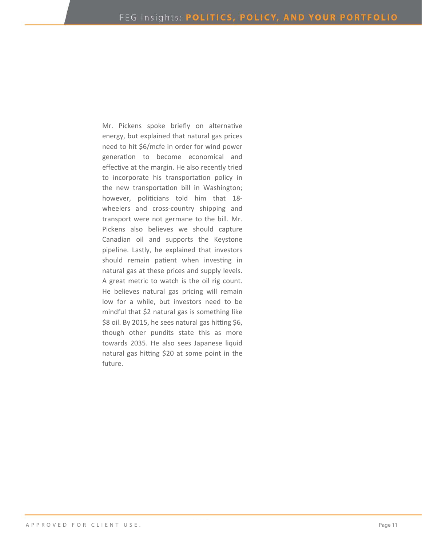Mr. Pickens spoke briefly on alternative energy, but explained that natural gas prices need to hit \$6/mcfe in order for wind power generation to become economical and effective at the margin. He also recently tried to incorporate his transportation policy in the new transportation bill in Washington; however, politicians told him that 18wheelers and cross-country shipping and transport were not germane to the bill. Mr. Pickens also believes we should capture Canadian oil and supports the Keystone pipeline. Lastly, he explained that investors should remain patient when investing in natural gas at these prices and supply levels. A great metric to watch is the oil rig count. He believes natural gas pricing will remain low for a while, but investors need to be mindful that \$2 natural gas is something like \$8 oil. By 2015, he sees natural gas hitting \$6, though other pundits state this as more towards 2035. He also sees Japanese liquid natural gas hitting \$20 at some point in the future.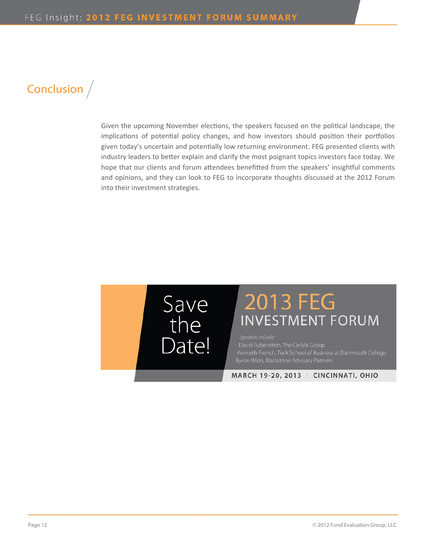## Conclusion /

Given the upcoming November elections, the speakers focused on the political landscape, the implications of potential policy changes, and how investors should position their portfolios given today's uncertain and potentially low returning environment. FEG presented clients with industry leaders to better explain and clarify the most poignant topics investors face today. We hope that our clients and forum attendees benefitted from the speakers' insightful comments and opinions, and they can look to FEG to incorporate thoughts discussed at the 2012 Forum into their investment strategies.



# **2013 FEG INVESTMENT FORUM**

Speakers include:

MARCH 19-20, 2013 / CINCINNATI, OHIO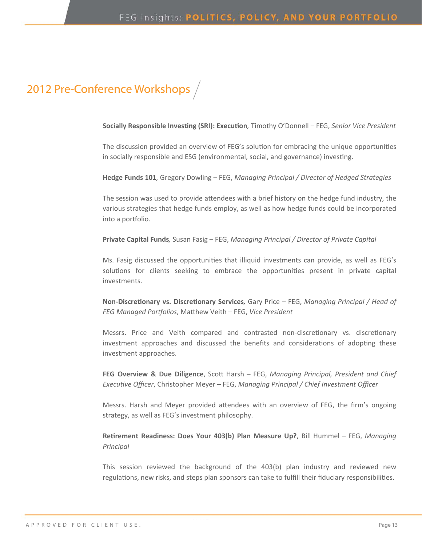### 2012 Pre-Conference Workshops /

**Socially Responsible InvesƟng (SRI): ExecuƟon***,* Timothy O'Donnell – FEG, *Senior Vice President* 

The discussion provided an overview of FEG's solution for embracing the unique opportunities in socially responsible and ESG (environmental, social, and governance) investing.

**Hedge Funds 101***,* Gregory Dowling – FEG, *Managing Principal / Director of Hedged Strategies*

The session was used to provide attendees with a brief history on the hedge fund industry, the various strategies that hedge funds employ, as well as how hedge funds could be incorporated into a portfolio.

**Private Capital Funds***,* Susan Fasig – FEG, *Managing Principal / Director of Private Capital*

Ms. Fasig discussed the opportunities that illiquid investments can provide, as well as FEG's solutions for clients seeking to embrace the opportunities present in private capital investments.

**Non‐DiscreƟonary vs. DiscreƟonary Services***,* Gary Price – FEG, *Managing Principal / Head of FEG Managed Porƞolios*, MaƩhew Veith – FEG, *Vice President*

Messrs. Price and Veith compared and contrasted non-discretionary vs. discretionary investment approaches and discussed the benefits and considerations of adopting these investment approaches.

**FEG Overview & Due Diligence**, ScoƩ Harsh – FEG, *Managing Principal, President and Chief ExecuƟve Officer*, Christopher Meyer – FEG, *Managing Principal / Chief Investment Officer*

Messrs. Harsh and Meyer provided attendees with an overview of FEG, the firm's ongoing strategy, as well as FEG's investment philosophy.

**ReƟrement Readiness: Does Your 403(b) Plan Measure Up?**, Bill Hummel – FEG, *Managing Principal*

This session reviewed the background of the 403(b) plan industry and reviewed new regulations, new risks, and steps plan sponsors can take to fulfill their fiduciary responsibilities.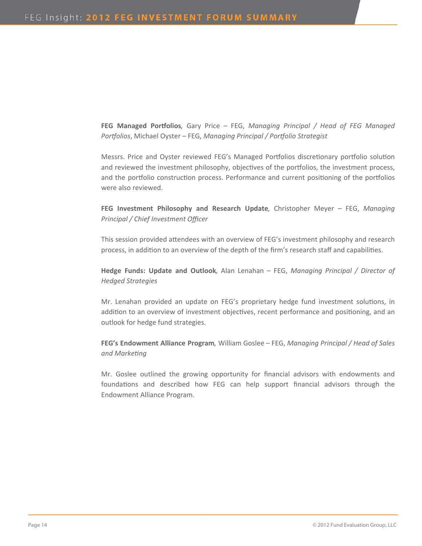**FEG Managed Porƞolios***,* Gary Price – FEG, *Managing Principal / Head of FEG Managed Porƞolios*, Michael Oyster – FEG, *Managing Principal / Porƞolio Strategist*

Messrs. Price and Oyster reviewed FEG's Managed Portfolios discretionary portfolio solution and reviewed the investment philosophy, objectives of the portfolios, the investment process, and the portfolio construction process. Performance and current positioning of the portfolios were also reviewed.

**FEG Investment Philosophy and Research Update***,* Christopher Meyer – FEG, *Managing Principal / Chief Investment Officer*

This session provided attendees with an overview of FEG's investment philosophy and research process, in addition to an overview of the depth of the firm's research staff and capabilities.

**Hedge Funds: Update and Outlook***,* Alan Lenahan – FEG, *Managing Principal / Director of Hedged Strategies*

Mr. Lenahan provided an update on FEG's proprietary hedge fund investment solutions, in addition to an overview of investment objectives, recent performance and positioning, and an outlook for hedge fund strategies.

**FEG's Endowment Alliance Program***,* William Goslee – FEG, *Managing Principal / Head of Sales and MarkeƟng*

Mr. Goslee outlined the growing opportunity for financial advisors with endowments and foundations and described how FEG can help support financial advisors through the Endowment Alliance Program.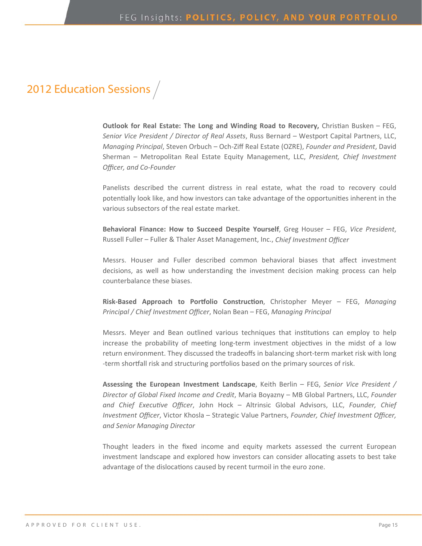### 2012 Education Sessions /

**Outlook for Real Estate: The Long and Winding Road to Recovery, Christian Busken – FEG,** *Senior Vice President / Director of Real Assets*, Russ Bernard – Westport Capital Partners, LLC, *Managing Principal*, Steven Orbuch – Och‐Ziff Real Estate (OZRE), *Founder and President*, David Sherman – Metropolitan Real Estate Equity Management, LLC, *President, Chief Investment Officer, and Co‐Founder*

Panelists described the current distress in real estate, what the road to recovery could potentially look like, and how investors can take advantage of the opportunities inherent in the various subsectors of the real estate market.

**Behavioral Finance: How to Succeed Despite Yourself**, Greg Houser – FEG, *Vice President*, Russell Fuller – Fuller & Thaler Asset Management, Inc., *Chief Investment Officer*

Messrs. Houser and Fuller described common behavioral biases that affect investment decisions, as well as how understanding the investment decision making process can help counterbalance these biases.

**Risk‐Based Approach to Porƞolio ConstrucƟon**, Christopher Meyer – FEG, *Managing Principal / Chief Investment Officer*, Nolan Bean – FEG, *Managing Principal*

Messrs. Meyer and Bean outlined various techniques that institutions can employ to help increase the probability of meeting long-term investment objectives in the midst of a low return environment. They discussed the tradeoffs in balancing short-term market risk with long -term shortfall risk and structuring portfolios based on the primary sources of risk.

**Assessing the European Investment Landscape**, Keith Berlin – FEG, *Senior Vice President / Director of Global Fixed Income and Credit*, Maria Boyazny – MB Global Partners, LLC, *Founder and Chief ExecuƟve Officer*, John Hock – Altrinsic Global Advisors, LLC, *Founder, Chief Investment Officer*, Victor Khosla – Strategic Value Partners, *Founder, Chief Investment Officer, and Senior Managing Director*

Thought leaders in the fixed income and equity markets assessed the current European investment landscape and explored how investors can consider allocating assets to best take advantage of the dislocations caused by recent turmoil in the euro zone.